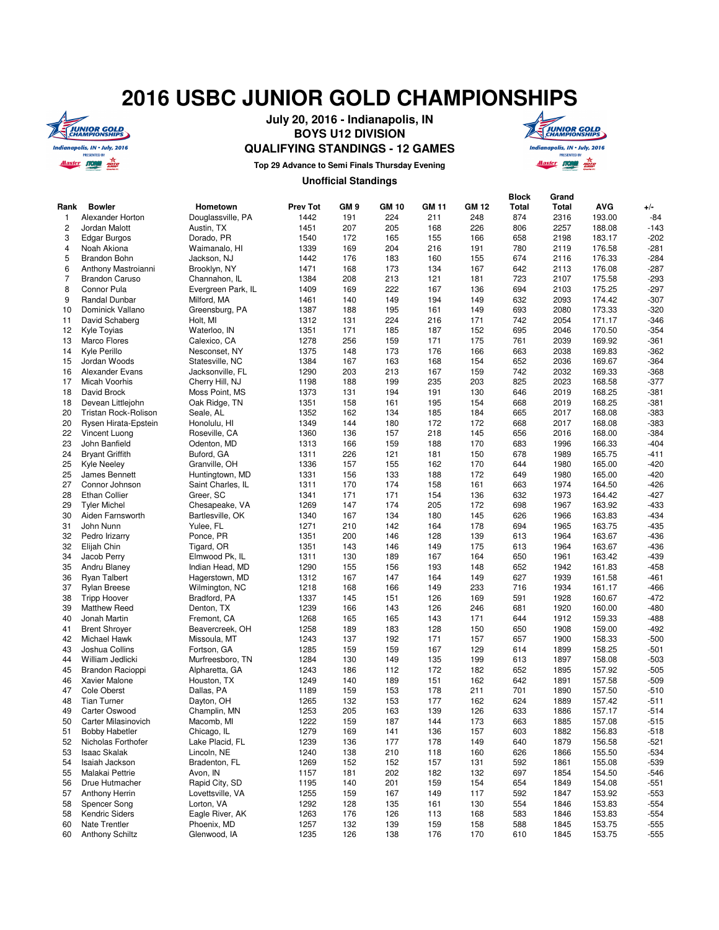## **2016 USBC JUNIOR GOLD CHAMPIONSHIPS**



**July 20, 2016 - Indianapolis, IN BOYS U12 DIVISION QUALIFYING STANDINGS - 12 GAMES**



**Top 29 Advance to Semi Finals Thursday Evening**

## **Unofficial Standings**

|                |                        |                    |                 |                 |              |       |              | <b>Block</b> | Grand |            |        |
|----------------|------------------------|--------------------|-----------------|-----------------|--------------|-------|--------------|--------------|-------|------------|--------|
| Rank           | <b>Bowler</b>          | Hometown           | <b>Prev Tot</b> | GM <sub>9</sub> | <b>GM 10</b> | GM 11 | <b>GM 12</b> | <b>Total</b> | Total | <b>AVG</b> | $+/-$  |
| $\mathbf{1}$   | Alexander Horton       | Douglassville, PA  | 1442            | 191             | 224          | 211   | 248          | 874          | 2316  | 193.00     | $-84$  |
| $\overline{c}$ | Jordan Malott          | Austin, TX         | 1451            | 207             | 205          | 168   | 226          | 806          | 2257  | 188.08     | $-143$ |
| 3              | <b>Edgar Burgos</b>    | Dorado, PR         | 1540            | 172             | 165          | 155   | 166          | 658          | 2198  | 183.17     | $-202$ |
| $\overline{4}$ | Noah Akiona            | Waimanalo, HI      | 1339            | 169             | 204          | 216   | 191          | 780          | 2119  | 176.58     | $-281$ |
| 5              | <b>Brandon Bohn</b>    | Jackson, NJ        | 1442            | 176             | 183          | 160   | 155          | 674          | 2116  | 176.33     | $-284$ |
| 6              | Anthony Mastroianni    | Brooklyn, NY       | 1471            | 168             | 173          | 134   | 167          | 642          | 2113  | 176.08     | $-287$ |
| $\overline{7}$ | <b>Brandon Caruso</b>  | Channahon, IL      | 1384            | 208             | 213          | 121   | 181          | 723          | 2107  | 175.58     | $-293$ |
| 8              | Connor Pula            | Evergreen Park, IL | 1409            | 169             | 222          | 167   | 136          | 694          | 2103  | 175.25     | $-297$ |
| 9              | Randal Dunbar          | Milford, MA        | 1461            | 140             | 149          | 194   | 149          | 632          | 2093  | 174.42     | $-307$ |
| 10             | Dominick Vallano       | Greensburg, PA     | 1387            | 188             | 195          | 161   | 149          | 693          | 2080  | 173.33     | $-320$ |
| 11             | David Schaberg         | Holt, MI           | 1312            | 131             | 224          | 216   | 171          | 742          | 2054  | 171.17     | $-346$ |
| 12             | Kyle Toyias            | Waterloo, IN       | 1351            | 171             | 185          | 187   | 152          | 695          | 2046  | 170.50     | $-354$ |
| 13             | <b>Marco Flores</b>    | Calexico, CA       | 1278            | 256             | 159          | 171   | 175          | 761          | 2039  | 169.92     | $-361$ |
| 14             | Kyle Perillo           | Nesconset, NY      | 1375            | 148             | 173          | 176   | 166          | 663          | 2038  | 169.83     | $-362$ |
| 15             | Jordan Woods           | Statesville, NC    | 1384            | 167             | 163          | 168   | 154          | 652          | 2036  | 169.67     | $-364$ |
| 16             | Alexander Evans        | Jacksonville, FL   | 1290            | 203             | 213          | 167   | 159          | 742          | 2032  | 169.33     | $-368$ |
| 17             | <b>Micah Voorhis</b>   | Cherry Hill, NJ    | 1198            | 188             | 199          | 235   | 203          | 825          | 2023  | 168.58     | $-377$ |
|                | David Brock            |                    |                 | 131             | 194          | 191   | 130          | 646          | 2019  | 168.25     | $-381$ |
| 18<br>18       |                        | Moss Point, MS     | 1373            |                 |              |       |              |              |       |            |        |
|                | Devean Littlejohn      | Oak Ridge, TN      | 1351            | 158             | 161          | 195   | 154          | 668          | 2019  | 168.25     | $-381$ |
| 20             | Tristan Rock-Rolison   | Seale, AL          | 1352            | 162             | 134          | 185   | 184          | 665          | 2017  | 168.08     | $-383$ |
| 20             | Rysen Hirata-Epstein   | Honolulu, HI       | 1349            | 144             | 180          | 172   | 172          | 668          | 2017  | 168.08     | $-383$ |
| 22             | Vincent Luong          | Roseville, CA      | 1360            | 136             | 157          | 218   | 145          | 656          | 2016  | 168.00     | $-384$ |
| 23             | John Banfield          | Odenton, MD        | 1313            | 166             | 159          | 188   | 170          | 683          | 1996  | 166.33     | $-404$ |
| 24             | <b>Bryant Griffith</b> | Buford, GA         | 1311            | 226             | 121          | 181   | 150          | 678          | 1989  | 165.75     | $-411$ |
| 25             | Kyle Neeley            | Granville, OH      | 1336            | 157             | 155          | 162   | 170          | 644          | 1980  | 165.00     | $-420$ |
| 25             | James Bennett          | Huntingtown, MD    | 1331            | 156             | 133          | 188   | 172          | 649          | 1980  | 165.00     | $-420$ |
| 27             | Connor Johnson         | Saint Charles, IL  | 1311            | 170             | 174          | 158   | 161          | 663          | 1974  | 164.50     | $-426$ |
| 28             | <b>Ethan Collier</b>   | Greer, SC          | 1341            | 171             | 171          | 154   | 136          | 632          | 1973  | 164.42     | $-427$ |
| 29             | <b>Tyler Michel</b>    | Chesapeake, VA     | 1269            | 147             | 174          | 205   | 172          | 698          | 1967  | 163.92     | $-433$ |
| 30             | Aiden Farnsworth       | Bartlesville, OK   | 1340            | 167             | 134          | 180   | 145          | 626          | 1966  | 163.83     | $-434$ |
| 31             | John Nunn              | Yulee, FL          | 1271            | 210             | 142          | 164   | 178          | 694          | 1965  | 163.75     | $-435$ |
| 32             | Pedro Irizarry         | Ponce, PR          | 1351            | 200             | 146          | 128   | 139          | 613          | 1964  | 163.67     | $-436$ |
| 32             | Elijah Chin            | Tigard, OR         | 1351            | 143             | 146          | 149   | 175          | 613          | 1964  | 163.67     | $-436$ |
| 34             | Jacob Perry            | Elmwood Pk, IL     | 1311            | 130             | 189          | 167   | 164          | 650          | 1961  | 163.42     | $-439$ |
| 35             | Andru Blaney           | Indian Head, MD    | 1290            | 155             | 156          | 193   | 148          | 652          | 1942  | 161.83     | $-458$ |
| 36             | <b>Ryan Talbert</b>    | Hagerstown, MD     | 1312            | 167             | 147          | 164   | 149          | 627          | 1939  | 161.58     | $-461$ |
| 37             | <b>Rylan Breese</b>    | Wilmington, NC     | 1218            | 168             | 166          | 149   | 233          | 716          | 1934  | 161.17     | $-466$ |
| 38             | <b>Tripp Hoover</b>    | Bradford, PA       | 1337            | 145             | 151          | 126   | 169          | 591          | 1928  | 160.67     | $-472$ |
| 39             | <b>Matthew Reed</b>    | Denton, TX         | 1239            | 166             | 143          | 126   | 246          | 681          | 1920  | 160.00     | $-480$ |
| 40             | Jonah Martin           | Fremont, CA        | 1268            | 165             | 165          | 143   | 171          | 644          | 1912  | 159.33     | $-488$ |
| 41             | <b>Brent Shroyer</b>   | Beavercreek, OH    | 1258            | 189             | 183          | 128   | 150          | 650          | 1908  | 159.00     | $-492$ |
| 42             | <b>Michael Hawk</b>    | Missoula, MT       | 1243            | 137             | 192          | 171   | 157          | 657          | 1900  | 158.33     | $-500$ |
| 43             | Joshua Collins         | Fortson, GA        | 1285            | 159             | 159          | 167   | 129          | 614          | 1899  | 158.25     | $-501$ |
| 44             | William Jedlicki       | Murfreesboro, TN   | 1284            | 130             | 149          | 135   | 199          | 613          | 1897  | 158.08     | $-503$ |
| 45             | Brandon Racioppi       | Alpharetta, GA     | 1243            | 186             | 112          | 172   | 182          | 652          | 1895  | 157.92     | $-505$ |
| 46             |                        |                    |                 | 140             | 189          | 151   | 162          |              |       | 157.58     | $-509$ |
|                | <b>Xavier Malone</b>   | Houston, TX        | 1249            | 159             |              | 178   |              | 642          | 1891  |            |        |
| 47             | <b>Cole Oberst</b>     | Dallas, PA         | 1189            |                 | 153          |       | 211          | 701          | 1890  | 157.50     | $-510$ |
| 48             | <b>Tian Turner</b>     | Dayton, OH         | 1265            | 132             | 153          | 177   | 162          | 624          | 1889  | 157.42     | $-511$ |
| 49             | Carter Oswood          | Champlin, MN       | 1253            | 205             | 163          | 139   | 126          | 633          | 1886  | 157.17     | $-514$ |
| 50             | Carter Milasinovich    | Macomb, MI         | 1222            | 159             | 187          | 144   | 173          | 663          | 1885  | 157.08     | $-515$ |
| 51             | <b>Bobby Habetler</b>  | Chicago, IL        | 1279            | 169             | 141          | 136   | 157          | 603          | 1882  | 156.83     | $-518$ |
| 52             | Nicholas Forthofer     | Lake Placid, FL    | 1239            | 136             | 177          | 178   | 149          | 640          | 1879  | 156.58     | $-521$ |
| 53             | <b>Isaac Skalak</b>    | Lincoln, NE        | 1240            | 138             | 210          | 118   | 160          | 626          | 1866  | 155.50     | $-534$ |
| 54             | Isaiah Jackson         | Bradenton, FL      | 1269            | 152             | 152          | 157   | 131          | 592          | 1861  | 155.08     | $-539$ |
| 55             | Malakai Pettrie        | Avon, IN           | 1157            | 181             | 202          | 182   | 132          | 697          | 1854  | 154.50     | $-546$ |
| 56             | Drue Hutmacher         | Rapid City, SD     | 1195            | 140             | 201          | 159   | 154          | 654          | 1849  | 154.08     | $-551$ |
| 57             | <b>Anthony Herrin</b>  | Lovettsville, VA   | 1255            | 159             | 167          | 149   | 117          | 592          | 1847  | 153.92     | $-553$ |
| 58             | Spencer Song           | Lorton, VA         | 1292            | 128             | 135          | 161   | 130          | 554          | 1846  | 153.83     | $-554$ |
| 58             | <b>Kendric Siders</b>  | Eagle River, AK    | 1263            | 176             | 126          | 113   | 168          | 583          | 1846  | 153.83     | $-554$ |
| 60             | Nate Trentler          | Phoenix, MD        | 1257            | 132             | 139          | 159   | 158          | 588          | 1845  | 153.75     | $-555$ |
| 60             | <b>Anthony Schiltz</b> | Glenwood, IA       | 1235            | 126             | 138          | 176   | 170          | 610          | 1845  | 153.75     | $-555$ |
|                |                        |                    |                 |                 |              |       |              |              |       |            |        |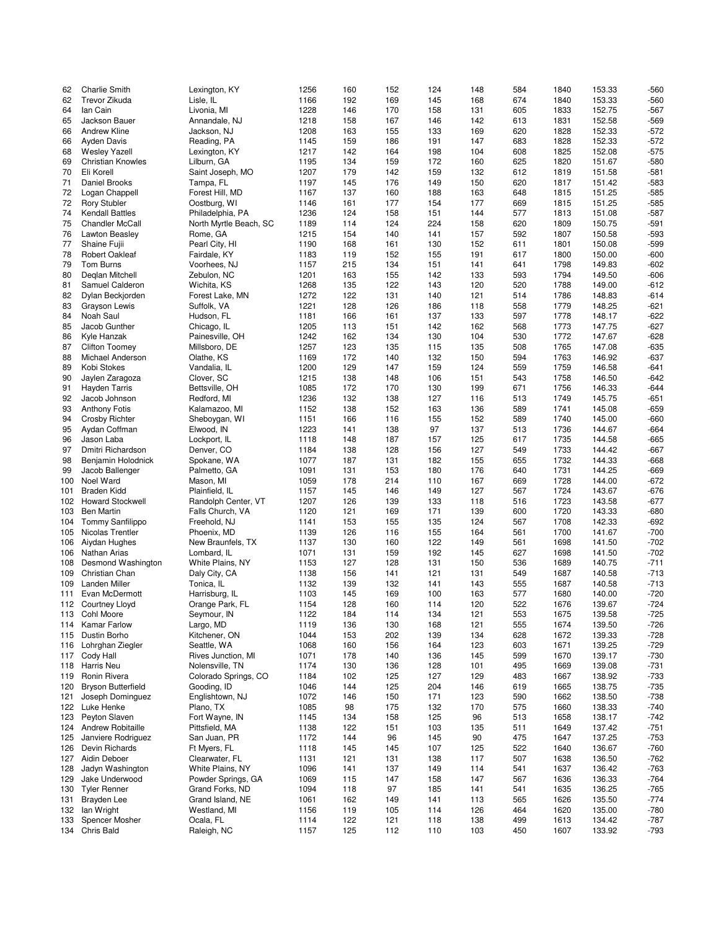| 62         | <b>Charlie Smith</b>                | Lexington, KY            | 1256         | 160        | 152        | 124        | 148        | 584        | 1840         | 153.33           | $-560$         |
|------------|-------------------------------------|--------------------------|--------------|------------|------------|------------|------------|------------|--------------|------------------|----------------|
| 62         | Trevor Zikuda                       | Lisle, IL                | 1166         | 192        | 169        | 145        | 168        | 674        | 1840         | 153.33           | $-560$         |
|            |                                     |                          |              |            |            |            |            |            |              |                  |                |
| 64         | lan Cain                            | Livonia, MI              | 1228         | 146        | 170        | 158        | 131        | 605        | 1833         | 152.75           | $-567$         |
| 65         | Jackson Bauer                       | Annandale, NJ            | 1218         | 158        | 167        | 146        | 142        | 613        | 1831         | 152.58           | $-569$         |
|            |                                     |                          |              |            |            |            |            |            |              |                  |                |
| 66         | <b>Andrew Kline</b>                 | Jackson, NJ              | 1208         | 163        | 155        | 133        | 169        | 620        | 1828         | 152.33           | $-572$         |
| 66         | <b>Ayden Davis</b>                  | Reading, PA              | 1145         | 159        | 186        | 191        | 147        | 683        | 1828         | 152.33           | $-572$         |
|            |                                     |                          |              |            |            |            |            |            |              |                  |                |
| 68         | <b>Wesley Yazell</b>                | Lexington, KY            | 1217         | 142        | 164        | 198        | 104        | 608        | 1825         | 152.08           | $-575$         |
| 69         | <b>Christian Knowles</b>            | Lilburn, GA              | 1195         | 134        | 159        | 172        | 160        | 625        | 1820         | 151.67           | $-580$         |
|            |                                     |                          |              |            |            |            |            |            |              |                  |                |
| 70         | Eli Korell                          | Saint Joseph, MO         | 1207         | 179        | 142        | 159        | 132        | 612        | 1819         | 151.58           | $-581$         |
| 71         | Daniel Brooks                       | Tampa, FL                | 1197         | 145        | 176        | 149        | 150        | 620        | 1817         | 151.42           | $-583$         |
|            |                                     |                          |              |            |            |            |            |            |              |                  |                |
| 72         | Logan Chappell                      | Forest Hill, MD          | 1167         | 137        | 160        | 188        | 163        | 648        | 1815         | 151.25           | $-585$         |
| 72         | <b>Rory Stubler</b>                 | Oostburg, WI             | 1146         | 161        | 177        | 154        | 177        | 669        | 1815         | 151.25           | $-585$         |
| 74         | <b>Kendall Battles</b>              | Philadelphia, PA         | 1236         | 124        | 158        | 151        | 144        | 577        | 1813         | 151.08           | $-587$         |
|            |                                     |                          |              |            |            |            |            |            |              |                  |                |
| 75         | <b>Chandler McCall</b>              | North Myrtle Beach, SC   | 1189         | 114        | 124        | 224        | 158        | 620        | 1809         | 150.75           | $-591$         |
| 76         |                                     |                          |              | 154        | 140        | 141        |            | 592        |              | 150.58           | $-593$         |
|            | Lawton Beasley                      | Rome, GA                 | 1215         |            |            |            | 157        |            | 1807         |                  |                |
| 77         | Shaine Fujii                        | Pearl City, HI           | 1190         | 168        | 161        | 130        | 152        | 611        | 1801         | 150.08           | $-599$         |
| 78         | <b>Robert Oakleaf</b>               | Fairdale, KY             | 1183         | 119        | 152        | 155        | 191        | 617        | 1800         | 150.00           | $-600$         |
|            |                                     |                          |              |            |            |            |            |            |              |                  |                |
| 79         | Tom Burns                           | Voorhees, NJ             | 1157         | 215        | 134        | 151        | 141        | 641        | 1798         | 149.83           | $-602$         |
| 80         | Deglan Mitchell                     | Zebulon, NC              | 1201         | 163        | 155        | 142        | 133        | 593        | 1794         | 149.50           | $-606$         |
|            |                                     |                          |              |            |            |            |            |            |              |                  |                |
| 81         | Samuel Calderon                     | Wichita, KS              | 1268         | 135        | 122        | 143        | 120        | 520        | 1788         | 149.00           | $-612$         |
| 82         | Dylan Beckjorden                    | Forest Lake, MN          | 1272         | 122        | 131        | 140        | 121        | 514        | 1786         | 148.83           | $-614$         |
|            |                                     |                          |              |            |            |            |            |            |              |                  |                |
| 83         | Grayson Lewis                       | Suffolk, VA              | 1221         | 128        | 126        | 186        | 118        | 558        | 1779         | 148.25           | $-621$         |
| 84         | Noah Saul                           | Hudson, FL               | 1181         | 166        | 161        | 137        | 133        | 597        | 1778         | 148.17           | $-622$         |
|            |                                     |                          |              |            |            |            |            |            |              |                  |                |
| 85         | Jacob Gunther                       | Chicago, IL              | 1205         | 113        | 151        | 142        | 162        | 568        | 1773         | 147.75           | $-627$         |
| 86         | Kyle Hanzak                         | Painesville, OH          | 1242         | 162        | 134        | 130        | 104        | 530        | 1772         | 147.67           | $-628$         |
|            |                                     |                          |              |            |            |            |            |            |              |                  |                |
| 87         | <b>Clifton Toomey</b>               | Millsboro, DE            | 1257         | 123        | 135        | 115        | 135        | 508        | 1765         | 147.08           | $-635$         |
| 88         | Michael Anderson                    | Olathe, KS               | 1169         | 172        | 140        | 132        | 150        | 594        | 1763         | 146.92           | $-637$         |
|            |                                     |                          |              |            |            |            |            |            |              |                  | $-641$         |
| 89         | Kobi Stokes                         | Vandalia, IL             | 1200         | 129        | 147        | 159        | 124        | 559        | 1759         | 146.58           |                |
| 90         | Jaylen Zaragoza                     | Clover, SC               | 1215         | 138        | 148        | 106        | 151        | 543        | 1758         | 146.50           | $-642$         |
| 91         | <b>Hayden Tarris</b>                | Bettsville, OH           | 1085         | 172        | 170        | 130        | 199        | 671        | 1756         | 146.33           | $-644$         |
|            |                                     |                          |              |            |            |            |            |            |              |                  |                |
| 92         | Jacob Johnson                       | Redford, MI              | 1236         | 132        | 138        | 127        | 116        | 513        | 1749         | 145.75           | $-651$         |
| 93         | <b>Anthony Fotis</b>                | Kalamazoo, MI            | 1152         | 138        | 152        | 163        | 136        | 589        | 1741         | 145.08           | $-659$         |
|            |                                     |                          |              |            |            |            |            |            |              |                  |                |
| 94         | <b>Crosby Richter</b>               | Sheboygan, WI            | 1151         | 166        | 116        | 155        | 152        | 589        | 1740         | 145.00           | $-660$         |
| 95         | Aydan Coffman                       | Elwood, IN               | 1223         | 141        | 138        | 97         | 137        | 513        | 1736         | 144.67           | $-664$         |
|            |                                     |                          |              |            |            |            |            |            |              |                  |                |
| 96         | Jason Laba                          | Lockport, IL             | 1118         | 148        | 187        | 157        | 125        | 617        | 1735         | 144.58           | $-665$         |
| 97         | Dmitri Richardson                   | Denver, CO               | 1184         | 138        | 128        | 156        | 127        | 549        | 1733         | 144.42           | $-667$         |
|            |                                     |                          |              |            |            |            |            |            |              |                  |                |
| 98         | Benjamin Holodnick                  | Spokane, WA              | 1077         | 187        | 131        | 182        | 155        | 655        | 1732         | 144.33           | $-668$         |
| 99         | Jacob Ballenger                     | Palmetto, GA             | 1091         | 131        | 153        | 180        | 176        | 640        | 1731         | 144.25           | $-669$         |
|            |                                     |                          |              |            |            |            |            |            |              |                  |                |
| 100        | Noel Ward                           | Mason, MI                | 1059         | 178        | 214        | 110        | 167        | 669        | 1728         | 144.00           | $-672$         |
| 101        | <b>Braden Kidd</b>                  | Plainfield, IL           | 1157         | 145        | 146        | 149        | 127        | 567        | 1724         | 143.67           | $-676$         |
|            | 102 Howard Stockwell                | Randolph Center, VT      | 1207         | 126        | 139        | 133        | 118        | 516        | 1723         | 143.58           | $-677$         |
|            |                                     |                          |              |            |            |            |            |            |              |                  |                |
| 103        | <b>Ben Martin</b>                   | Falls Church, VA         | 1120         | 121        | 169        | 171        | 139        | 600        | 1720         | 143.33           | $-680$         |
| 104        | Tommy Sanfilippo                    | Freehold, NJ             | 1141         | 153        | 155        | 135        | 124        | 567        | 1708         | 142.33           | $-692$         |
|            |                                     |                          |              |            |            |            |            |            |              |                  |                |
| 105        | Nicolas Trentler                    | Phoenix, MD              | 1139         | 126        | 116        | 155        | 164        | 561        | 1700         | 141.67           | $-700$         |
| 106        | Aiydan Hughes                       | New Braunfels, TX        | 1137         | 130        | 160        | 122        | 149        | 561        | 1698         | 141.50           | $-702$         |
|            |                                     |                          |              |            |            |            |            |            |              |                  |                |
| 106        | Nathan Arias                        | Lombard, IL              | 1071         | 131        | 159        | 192        | 145        | 627        | 1698         | 141.50           | $-702$         |
| 108        | Desmond Washington                  | White Plains, NY         | 1153         | 127        | 128        | 131        | 150        | 536        | 1689         | 140.75           | $-711$         |
|            |                                     |                          |              |            |            |            |            |            |              |                  |                |
| 109        | Christian Chan                      | Daly City, CA            | 1138         | 156        | 141        | 121        | 131        | 549        | 1687         | 140.58           | $-713$         |
| 109        | <b>Landen Miller</b>                | Tonica, IL               | 1132         | 139        | 132        | 141        | 143        | 555        | 1687         | 140.58           | $-713$         |
|            |                                     |                          |              |            |            |            |            |            |              |                  |                |
| 111        | Evan McDermott                      | Harrisburg, IL           | 1103         | 145        | 169        | 100        | 163        | 577        | 1680         | 140.00           | $-720$         |
|            | 112 Courtney Lloyd                  | Orange Park, FL          | 1154         | 128        | 160        | 114        | 120        | 522        | 1676         | 139.67           | $-724$         |
| 113        | Cohl Moore                          | Seymour, IN              | 1122         | 184        | 114        | 134        | 121        | 553        | 1675         | 139.58           | $-725$         |
|            |                                     |                          |              |            |            |            |            |            |              |                  |                |
| 114        | Kamar Farlow                        | Largo, MD                | 1119         | 136        | 130        | 168        | 121        | 555        | 1674         | 139.50           | $-726$         |
| 115        | Dustin Borho                        | Kitchener, ON            | 1044         | 153        | 202        | 139        | 134        | 628        | 1672         | 139.33           | $-728$         |
|            |                                     |                          |              |            |            |            |            |            |              |                  |                |
| 116        | Lohrghan Ziegler                    | Seattle, WA              | 1068         | 160        | 156        | 164        | 123        | 603        | 1671         | 139.25           | $-729$         |
| 117        | Cody Hall                           | Rives Junction, MI       | 1071         | 178        | 140        | 136        | 145        | 599        | 1670         | 139.17           | $-730$         |
|            |                                     |                          |              |            |            |            |            |            |              |                  |                |
| 118        | Harris Neu                          | Nolensville, TN          | 1174         | 130        | 136        | 128        | 101        | 495        | 1669         | 139.08           | $-731$         |
| 119        | Ronin Rivera                        | Colorado Springs, CO     | 1184         | 102        | 125        | 127        | 129        | 483        | 1667         | 138.92           | $-733$         |
|            | <b>Bryson Butterfield</b>           |                          |              |            |            |            |            |            |              |                  |                |
| 120        |                                     | Gooding, ID              | 1046         | 144        | 125        | 204        | 146        | 619        | 1665         | 138.75           | $-735$         |
| 121        | Joseph Dominguez                    | Englishtown, NJ          | 1072         | 146        | 150        | 171        | 123        | 590        | 1662         | 138.50           | $-738$         |
| 122        | Luke Henke                          | Plano, TX                | 1085         | 98         | 175        | 132        | 170        | 575        | 1660         | 138.33           | $-740$         |
|            |                                     |                          |              |            |            |            |            |            |              |                  |                |
| 123        | Peyton Slaven                       | Fort Wayne, IN           | 1145         | 134        | 158        | 125        | 96         | 513        | 1658         | 138.17           | $-742$         |
| 124        | Andrew Robitaille                   | Pittsfield, MA           | 1138         | 122        | 151        | 103        | 135        | 511        | 1649         | 137.42           | $-751$         |
|            |                                     |                          |              |            |            |            |            |            |              |                  |                |
| 125        | Janviere Rodriguez                  | San Juan, PR             | 1172         | 144        | 96         | 145        | 90         | 475        | 1647         | 137.25           | $-753$         |
| 126        | Devin Richards                      | Ft Myers, FL             | 1118         | 145        | 145        | 107        | 125        | 522        | 1640         | 136.67           | $-760$         |
|            |                                     |                          |              |            |            |            |            |            |              |                  |                |
| 127        | Aidin Deboer                        | Clearwater, FL           | 1131         | 121        | 131        | 138        | 117        | 507        | 1638         | 136.50           | $-762$         |
| 128        | Jadyn Washington                    | White Plains, NY         | 1096         | 141        | 137        | 149        | 114        | 541        | 1637         | 136.42           | $-763$         |
|            |                                     |                          |              |            |            |            |            |            |              |                  |                |
| 129        | Jake Underwood                      | Powder Springs, GA       | 1069         | 115        | 147        | 158        | 147        | 567        | 1636         | 136.33           | $-764$         |
|            | <b>Tyler Renner</b>                 | Grand Forks, ND          | 1094         | 118        | 97         | 185        | 141        | 541        | 1635         | 136.25           | $-765$         |
|            |                                     |                          |              |            |            |            |            |            |              |                  |                |
| 130        |                                     |                          |              |            |            |            |            |            |              |                  |                |
| 131        | Brayden Lee                         | Grand Island, NE         | 1061         | 162        | 149        | 141        | 113        | 565        | 1626         | 135.50           | $-774$         |
| 132        | lan Wright                          | Westland, MI             | 1156         | 119        | 105        | 114        | 126        | 464        | 1620         | 135.00           | $-780$         |
|            |                                     |                          |              |            |            |            |            |            |              |                  |                |
| 133<br>134 | <b>Spencer Mosher</b><br>Chris Bald | Ocala, FL<br>Raleigh, NC | 1114<br>1157 | 122<br>125 | 121<br>112 | 118<br>110 | 138<br>103 | 499<br>450 | 1613<br>1607 | 134.42<br>133.92 | -787<br>$-793$ |